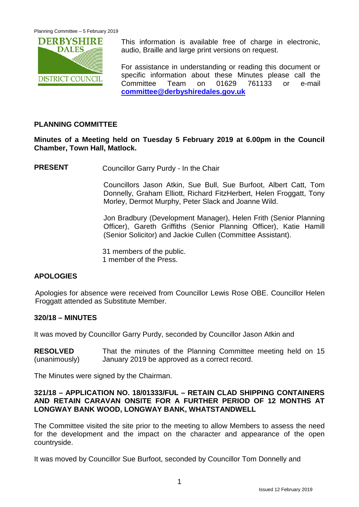

This information is available free of charge in electronic, audio, Braille and large print versions on request.

For assistance in understanding or reading this document or specific information about these Minutes please call the Committee Team on 01629 761133 or e-mail **[committee@derbyshiredales.gov.uk](mailto:committee@derbyshiredales.gov.uk)**

### **PLANNING COMMITTEE**

**Minutes of a Meeting held on Tuesday 5 February 2019 at 6.00pm in the Council Chamber, Town Hall, Matlock.**

**PRESENT** Councillor Garry Purdy - In the Chair

Councillors Jason Atkin, Sue Bull, Sue Burfoot, Albert Catt, Tom Donnelly, Graham Elliott, Richard FitzHerbert, Helen Froggatt, Tony Morley, Dermot Murphy, Peter Slack and Joanne Wild.

Jon Bradbury (Development Manager), Helen Frith (Senior Planning Officer), Gareth Griffiths (Senior Planning Officer), Katie Hamill (Senior Solicitor) and Jackie Cullen (Committee Assistant).

31 members of the public. 1 member of the Press.

# **APOLOGIES**

Apologies for absence were received from Councillor Lewis Rose OBE. Councillor Helen Froggatt attended as Substitute Member.

#### **320/18 – MINUTES**

It was moved by Councillor Garry Purdy, seconded by Councillor Jason Atkin and

**RESOLVED** (unanimously) That the minutes of the Planning Committee meeting held on 15 January 2019 be approved as a correct record.

The Minutes were signed by the Chairman.

### **321/18 – APPLICATION NO. 18/01333/FUL – RETAIN CLAD SHIPPING CONTAINERS AND RETAIN CARAVAN ONSITE FOR A FURTHER PERIOD OF 12 MONTHS AT LONGWAY BANK WOOD, LONGWAY BANK, WHATSTANDWELL**

The Committee visited the site prior to the meeting to allow Members to assess the need for the development and the impact on the character and appearance of the open countryside.

It was moved by Councillor Sue Burfoot, seconded by Councillor Tom Donnelly and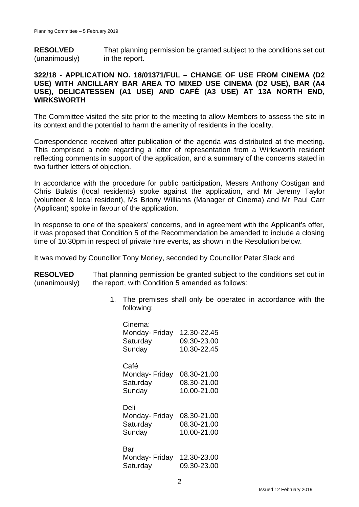**RESOLVED** (unanimously) That planning permission be granted subject to the conditions set out in the report.

# **322/18 - APPLICATION NO. 18/01371/FUL – CHANGE OF USE FROM CINEMA (D2 USE) WITH ANCILLARY BAR AREA TO MIXED USE CINEMA (D2 USE), BAR (A4 USE), DELICATESSEN (A1 USE) AND CAFÉ (A3 USE) AT 13A NORTH END, WIRKSWORTH**

The Committee visited the site prior to the meeting to allow Members to assess the site in its context and the potential to harm the amenity of residents in the locality.

Correspondence received after publication of the agenda was distributed at the meeting. This comprised a note regarding a letter of representation from a Wirksworth resident reflecting comments in support of the application, and a summary of the concerns stated in two further letters of objection.

In accordance with the procedure for public participation, Messrs Anthony Costigan and Chris Bulatis (local residents) spoke against the application, and Mr Jeremy Taylor (volunteer & local resident), Ms Briony Williams (Manager of Cinema) and Mr Paul Carr (Applicant) spoke in favour of the application.

In response to one of the speakers' concerns, and in agreement with the Applicant's offer, it was proposed that Condition 5 of the Recommendation be amended to include a closing time of 10.30pm in respect of private hire events, as shown in the Resolution below.

It was moved by Councillor Tony Morley, seconded by Councillor Peter Slack and

**RESOLVED** (unanimously) That planning permission be granted subject to the conditions set out in the report, with Condition 5 amended as follows:

> 1. The premises shall only be operated in accordance with the following:

| Cinema:<br>Monday- Friday<br>Saturday<br>Sunday | 12.30-22.45<br>09.30-23.00<br>10.30-22.45 |
|-------------------------------------------------|-------------------------------------------|
| Café<br>Monday- Friday<br>Saturday<br>Sunday    | 08.30-21.00<br>08.30-21.00<br>10.00-21.00 |
| Deli<br>Monday- Friday<br>Saturday<br>Sunday    | 08.30-21.00<br>08.30-21.00<br>10.00-21.00 |
| Bar<br>Monday- Friday<br>Saturday               | 12.30-23.00<br>09.30-23.00                |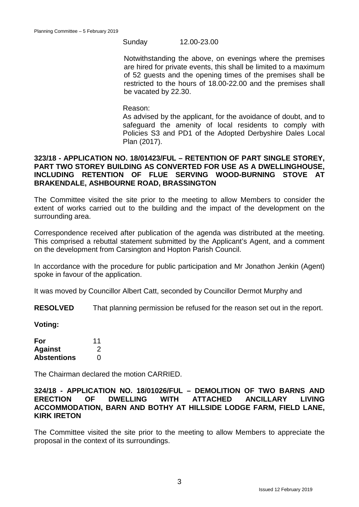#### Sunday 12.00-23.00

Notwithstanding the above, on evenings where the premises are hired for private events, this shall be limited to a maximum of 52 guests and the opening times of the premises shall be restricted to the hours of 18.00-22.00 and the premises shall be vacated by 22.30.

Reason:

As advised by the applicant, for the avoidance of doubt, and to safeguard the amenity of local residents to comply with Policies S3 and PD1 of the Adopted Derbyshire Dales Local Plan (2017).

## **323/18 - APPLICATION NO. 18/01423/FUL – RETENTION OF PART SINGLE STOREY, PART TWO STOREY BUILDING AS CONVERTED FOR USE AS A DWELLINGHOUSE, INCLUDING RETENTION OF FLUE SERVING WOOD-BURNING STOVE AT BRAKENDALE, ASHBOURNE ROAD, BRASSINGTON**

The Committee visited the site prior to the meeting to allow Members to consider the extent of works carried out to the building and the impact of the development on the surrounding area.

Correspondence received after publication of the agenda was distributed at the meeting. This comprised a rebuttal statement submitted by the Applicant's Agent, and a comment on the development from Carsington and Hopton Parish Council.

In accordance with the procedure for public participation and Mr Jonathon Jenkin (Agent) spoke in favour of the application.

It was moved by Councillor Albert Catt, seconded by Councillor Dermot Murphy and

**RESOLVED** That planning permission be refused for the reason set out in the report.

**Voting:**

| For                | 11 |
|--------------------|----|
| <b>Against</b>     | 2  |
| <b>Abstentions</b> | O  |

The Chairman declared the motion CARRIED.

### **324/18 - APPLICATION NO. 18/01026/FUL – DEMOLITION OF TWO BARNS AND ERECTION OF DWELLING WITH ATTACHED ANCILLARY LIVING ACCOMMODATION, BARN AND BOTHY AT HILLSIDE LODGE FARM, FIELD LANE, KIRK IRETON**

The Committee visited the site prior to the meeting to allow Members to appreciate the proposal in the context of its surroundings.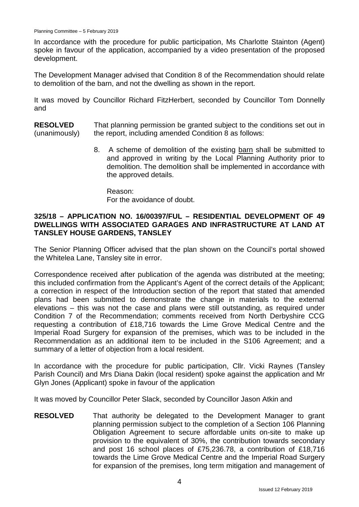In accordance with the procedure for public participation, Ms Charlotte Stainton (Agent) spoke in favour of the application, accompanied by a video presentation of the proposed development.

The Development Manager advised that Condition 8 of the Recommendation should relate to demolition of the barn, and not the dwelling as shown in the report.

It was moved by Councillor Richard FitzHerbert, seconded by Councillor Tom Donnelly and

- **RESOLVED** (unanimously) That planning permission be granted subject to the conditions set out in the report, including amended Condition 8 as follows:
	- 8. A scheme of demolition of the existing barn shall be submitted to and approved in writing by the Local Planning Authority prior to demolition. The demolition shall be implemented in accordance with the approved details.

Reason: For the avoidance of doubt.

### **325/18 – APPLICATION NO. 16/00397/FUL – RESIDENTIAL DEVELOPMENT OF 49 DWELLINGS WITH ASSOCIATED GARAGES AND INFRASTRUCTURE AT LAND AT TANSLEY HOUSE GARDENS, TANSLEY**

The Senior Planning Officer advised that the plan shown on the Council's portal showed the Whitelea Lane, Tansley site in error.

Correspondence received after publication of the agenda was distributed at the meeting; this included confirmation from the Applicant's Agent of the correct details of the Applicant; a correction in respect of the Introduction section of the report that stated that amended plans had been submitted to demonstrate the change in materials to the external elevations – this was not the case and plans were still outstanding, as required under Condition 7 of the Recommendation; comments received from North Derbyshire CCG requesting a contribution of £18,716 towards the Lime Grove Medical Centre and the Imperial Road Surgery for expansion of the premises, which was to be included in the Recommendation as an additional item to be included in the S106 Agreement; and a summary of a letter of objection from a local resident.

In accordance with the procedure for public participation, Cllr. Vicki Raynes (Tansley Parish Council) and Mrs Diana Dakin (local resident) spoke against the application and Mr Glyn Jones (Applicant) spoke in favour of the application

It was moved by Councillor Peter Slack, seconded by Councillor Jason Atkin and

**RESOLVED** That authority be delegated to the Development Manager to grant planning permission subject to the completion of a Section 106 Planning Obligation Agreement to secure affordable units on-site to make up provision to the equivalent of 30%, the contribution towards secondary and post 16 school places of £75,236.78, a contribution of £18,716 towards the Lime Grove Medical Centre and the Imperial Road Surgery for expansion of the premises, long term mitigation and management of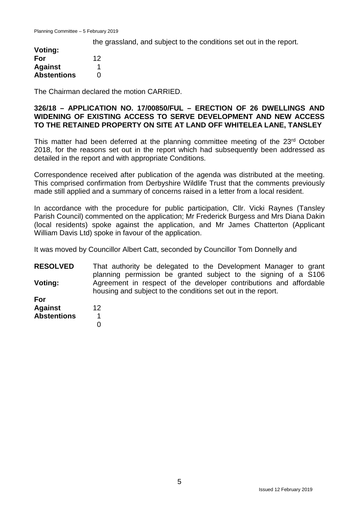the grassland, and subject to the conditions set out in the report.

| Voting:            |    |
|--------------------|----|
| For                | 12 |
| <b>Against</b>     | 1  |
| <b>Abstentions</b> | 0  |

The Chairman declared the motion CARRIED.

### **326/18 – APPLICATION NO. 17/00850/FUL – ERECTION OF 26 DWELLINGS AND WIDENING OF EXISTING ACCESS TO SERVE DEVELOPMENT AND NEW ACCESS TO THE RETAINED PROPERTY ON SITE AT LAND OFF WHITELEA LANE, TANSLEY**

This matter had been deferred at the planning committee meeting of the 23<sup>rd</sup> October 2018, for the reasons set out in the report which had subsequently been addressed as detailed in the report and with appropriate Conditions.

Correspondence received after publication of the agenda was distributed at the meeting. This comprised confirmation from Derbyshire Wildlife Trust that the comments previously made still applied and a summary of concerns raised in a letter from a local resident.

In accordance with the procedure for public participation, Cllr. Vicki Raynes (Tansley Parish Council) commented on the application; Mr Frederick Burgess and Mrs Diana Dakin (local residents) spoke against the application, and Mr James Chatterton (Applicant William Davis Ltd) spoke in favour of the application.

It was moved by Councillor Albert Catt, seconded by Councillor Tom Donnelly and

**RESOLVED Voting:** That authority be delegated to the Development Manager to grant planning permission be granted subject to the signing of a S106 Agreement in respect of the developer contributions and affordable housing and subject to the conditions set out in the report.

**For Against Abstentions** 12

 1  $\Omega$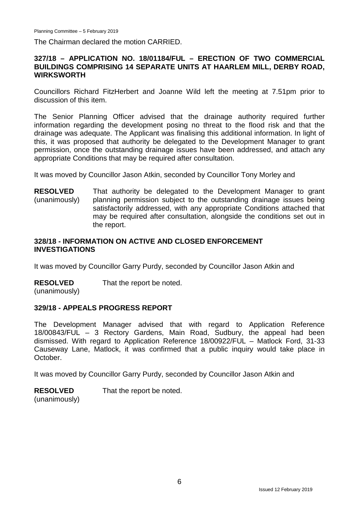The Chairman declared the motion CARRIED.

# **327/18 – APPLICATION NO. 18/01184/FUL – ERECTION OF TWO COMMERCIAL BUILDINGS COMPRISING 14 SEPARATE UNITS AT HAARLEM MILL, DERBY ROAD, WIRKSWORTH**

Councillors Richard FitzHerbert and Joanne Wild left the meeting at 7.51pm prior to discussion of this item.

The Senior Planning Officer advised that the drainage authority required further information regarding the development posing no threat to the flood risk and that the drainage was adequate. The Applicant was finalising this additional information. In light of this, it was proposed that authority be delegated to the Development Manager to grant permission, once the outstanding drainage issues have been addressed, and attach any appropriate Conditions that may be required after consultation.

It was moved by Councillor Jason Atkin, seconded by Councillor Tony Morley and

**RESOLVED** (unanimously) That authority be delegated to the Development Manager to grant planning permission subject to the outstanding drainage issues being satisfactorily addressed, with any appropriate Conditions attached that may be required after consultation, alongside the conditions set out in the report.

### **328/18 - INFORMATION ON ACTIVE AND CLOSED ENFORCEMENT INVESTIGATIONS**

It was moved by Councillor Garry Purdy, seconded by Councillor Jason Atkin and

**RESOLVED** That the report be noted.

(unanimously)

# **329/18 - APPEALS PROGRESS REPORT**

The Development Manager advised that with regard to Application Reference 18/00843/FUL – 3 Rectory Gardens, Main Road, Sudbury, the appeal had been dismissed. With regard to Application Reference 18/00922/FUL – Matlock Ford, 31-33 Causeway Lane, Matlock, it was confirmed that a public inquiry would take place in October.

It was moved by Councillor Garry Purdy, seconded by Councillor Jason Atkin and

**RESOLVED** That the report be noted.

(unanimously)